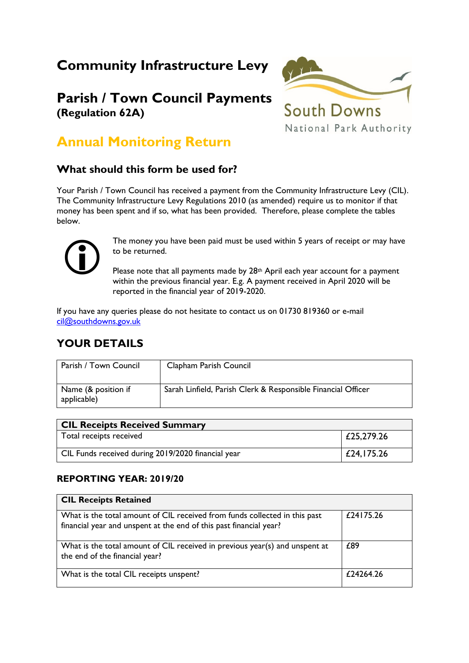# **Community Infrastructure Levy**

## **Parish / Town Council Payments (Regulation 62A)**



## **Annual Monitoring Return**

### **What should this form be used for?**

Your Parish / Town Council has received a payment from the Community Infrastructure Levy (CIL). The Community Infrastructure Levy Regulations 2010 (as amended) require us to monitor if that money has been spent and if so, what has been provided. Therefore, please complete the tables below.



The money you have been paid must be used within 5 years of receipt or may have to be returned.

Please note that all payments made by 28<sup>th</sup> April each year account for a payment within the previous financial year. E.g. A payment received in April 2020 will be reported in the financial year of 2019-2020.

If you have any queries please do not hesitate to contact us on 01730 819360 or e-mail [cil@southdowns.gov.uk](mailto:cil@southdowns.gov.uk)

### **YOUR DETAILS**

| Parish / Town Council              | Clapham Parish Council                                       |
|------------------------------------|--------------------------------------------------------------|
| Name (& position if<br>applicable) | Sarah Linfield, Parish Clerk & Responsible Financial Officer |

| <b>CIL Receipts Received Summary</b>               |                |  |
|----------------------------------------------------|----------------|--|
| Total receipts received                            | $ $ £25,279.26 |  |
| CIL Funds received during 2019/2020 financial year | E24, 175.26    |  |

#### **REPORTING YEAR: 2019/20**

| <b>CIL Receipts Retained</b>                                                                                                                     |           |
|--------------------------------------------------------------------------------------------------------------------------------------------------|-----------|
| What is the total amount of CIL received from funds collected in this past<br>financial year and unspent at the end of this past financial year? | £24175.26 |
| What is the total amount of CIL received in previous year(s) and unspent at<br>the end of the financial year?                                    | £89       |
| What is the total CIL receipts unspent?                                                                                                          | £24264.26 |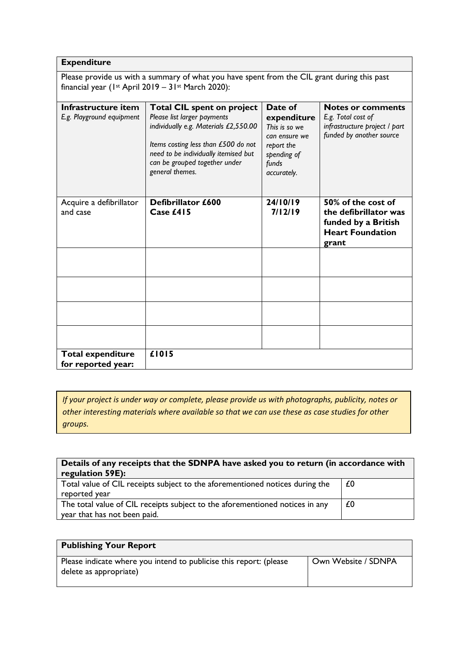#### **Expenditure**

Please provide us with a summary of what you have spent from the CIL grant during this past financial year (1st April 2019 –  $31$ st March 2020):

| Infrastructure item       | <b>Total CIL spent on project</b>                                     | Date of              | <b>Notes or comments</b>      |
|---------------------------|-----------------------------------------------------------------------|----------------------|-------------------------------|
| E.g. Playground equipment | Please list larger payments                                           | expenditure          | E.g. Total cost of            |
|                           | individually e.g. Materials £2,550.00                                 | This is so we        | infrastructure project / part |
|                           |                                                                       | can ensure we        | funded by another source      |
|                           | Items costing less than £500 do not                                   | report the           |                               |
|                           | need to be individually itemised but<br>can be grouped together under | spending of          |                               |
|                           | general themes.                                                       | funds<br>accurately. |                               |
|                           |                                                                       |                      |                               |
|                           |                                                                       |                      |                               |
| Acquire a defibrillator   | Defibrillator £600                                                    | 24/10/19             | 50% of the cost of            |
| and case                  | Case $£415$                                                           | 7/12/19              | the defibrillator was         |
|                           |                                                                       |                      | funded by a British           |
|                           |                                                                       |                      | <b>Heart Foundation</b>       |
|                           |                                                                       |                      | grant                         |
|                           |                                                                       |                      |                               |
|                           |                                                                       |                      |                               |
|                           |                                                                       |                      |                               |
|                           |                                                                       |                      |                               |
|                           |                                                                       |                      |                               |
|                           |                                                                       |                      |                               |
|                           |                                                                       |                      |                               |
|                           |                                                                       |                      |                               |
|                           |                                                                       |                      |                               |
| <b>Total expenditure</b>  | £1015                                                                 |                      |                               |
| for reported year:        |                                                                       |                      |                               |

*If your project is under way or complete, please provide us with photographs, publicity, notes or other interesting materials where available so that we can use these as case studies for other groups.* 

| Details of any receipts that the SDNPA have asked you to return (in accordance with<br>regulation 59E):      |    |  |
|--------------------------------------------------------------------------------------------------------------|----|--|
| Total value of CIL receipts subject to the aforementioned notices during the<br>reported year                | £0 |  |
| The total value of CIL receipts subject to the aforementioned notices in any<br>year that has not been paid. | £0 |  |

| <b>Publishing Your Report</b>                                                                |                     |
|----------------------------------------------------------------------------------------------|---------------------|
| Please indicate where you intend to publicise this report: (please<br>delete as appropriate) | Own Website / SDNPA |